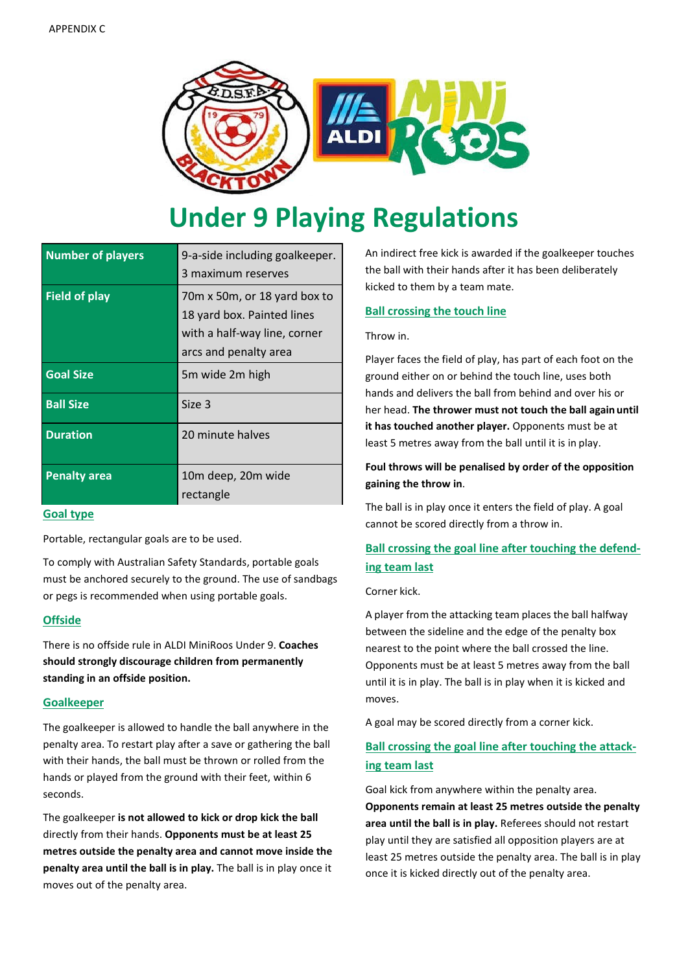

# **Under 9 Playing Regulations**

| <b>Number of players</b> | 9-a-side including goalkeeper.<br>3 maximum reserves                                                                |
|--------------------------|---------------------------------------------------------------------------------------------------------------------|
| <b>Field of play</b>     | 70m x 50m, or 18 yard box to<br>18 yard box. Painted lines<br>with a half-way line, corner<br>arcs and penalty area |
| <b>Goal Size</b>         | 5m wide 2m high                                                                                                     |
| <b>Ball Size</b>         | Size 3                                                                                                              |
| <b>Duration</b>          | 20 minute halves                                                                                                    |
| <b>Penalty area</b>      | 10m deep, 20m wide<br>rectangle                                                                                     |

## **Goal type**

Portable, rectangular goals are to be used.

To comply with Australian Safety Standards, portable goals must be anchored securely to the ground. The use of sandbags or pegs is recommended when using portable goals.

## **Offside**

There is no offside rule in ALDI MiniRoos Under 9. **Coaches should strongly discourage children from permanently standing in an offside position.**

#### **Goalkeeper**

The goalkeeper is allowed to handle the ball anywhere in the penalty area. To restart play after a save or gathering the ball with their hands, the ball must be thrown or rolled from the hands or played from the ground with their feet, within 6 seconds.

The goalkeeper **is not allowed to kick or drop kick the ball**  directly from their hands. **Opponents must be at least 25 metres outside the penalty area and cannot move inside the penalty area until the ball is in play.** The ball is in play once it moves out of the penalty area.

An indirect free kick is awarded if the goalkeeper touches the ball with their hands after it has been deliberately kicked to them by a team mate.

## **Ball crossing the touch line**

#### Throw in.

Player faces the field of play, has part of each foot on the ground either on or behind the touch line, uses both hands and delivers the ball from behind and over his or her head. **The thrower must not touch the ball again until it has touched another player.** Opponents must be at least 5 metres away from the ball until it is in play.

# **Foul throws will be penalised by order of the opposition gaining the throw in**.

The ball is in play once it enters the field of play. A goal cannot be scored directly from a throw in.

# **Ball crossing the goal line after touching the defending team last**

#### Corner kick.

A player from the attacking team places the ball halfway between the sideline and the edge of the penalty box nearest to the point where the ball crossed the line. Opponents must be at least 5 metres away from the ball until it is in play. The ball is in play when it is kicked and moves.

A goal may be scored directly from a corner kick.

# **Ball crossing the goal line after touching the attacking team last**

Goal kick from anywhere within the penalty area. **Opponents remain at least 25 metres outside the penalty area until the ball is in play.** Referees should not restart play until they are satisfied all opposition players are at least 25 metres outside the penalty area. The ball is in play once it is kicked directly out of the penalty area.